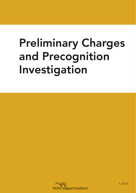## Preliminary Charges and Precognition Investigation



F-29-01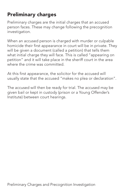## Preliminary charges

Preliminary charges are the initial charges that an accused person faces. These may change following the precognition investigation.

When an accused person is charged with murder or culpable homicide their first appearance in court will be in private. They will be given a document (called a petition) that tells them what initial charge they will face. This is called "appearing on petition" and it will take place in the sheriff court in the area where the crime was committed.

At this first appearance, the solicitor for the accused will usually state that the accused "makes no plea or declaration".

The accused will then be ready for trial. The accused may be given bail or kept in custody (prison or a Young Offender's Institute) between court hearings.